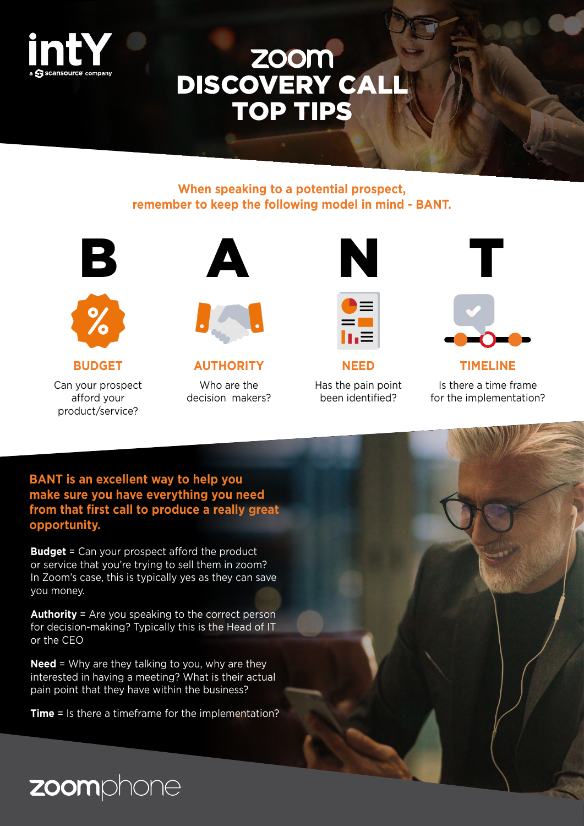

# DISCOVERY CALL TOP TIPS

#### **When speaking to a potential prospect, remember to keep the following model in mind - BANT.**







#### **BUDGET**

Can your prospect afford your product/service?



**AUTHORITY** Who are the

decision makers?





**NEED**

Has the pain point been identified?



**TIMELINE** Is there a time frame for the implementation?

**BANT is an excellent way to help you make sure you have everything you need from that first call to produce a really great opportunity.**

**Budget** = Can your prospect afford the product or service that you're trying to sell them in zoom? In Zoom's case, this is typically yes as they can save you money.

**Authority** = Are you speaking to the correct person for decision-making? Typically this is the Head of IT or the CEO

**Need** = Why are they talking to you, why are they interested in having a meeting? What is their actual pain point that they have within the business?

**Time** = Is there a timeframe for the implementation?

zoomphone